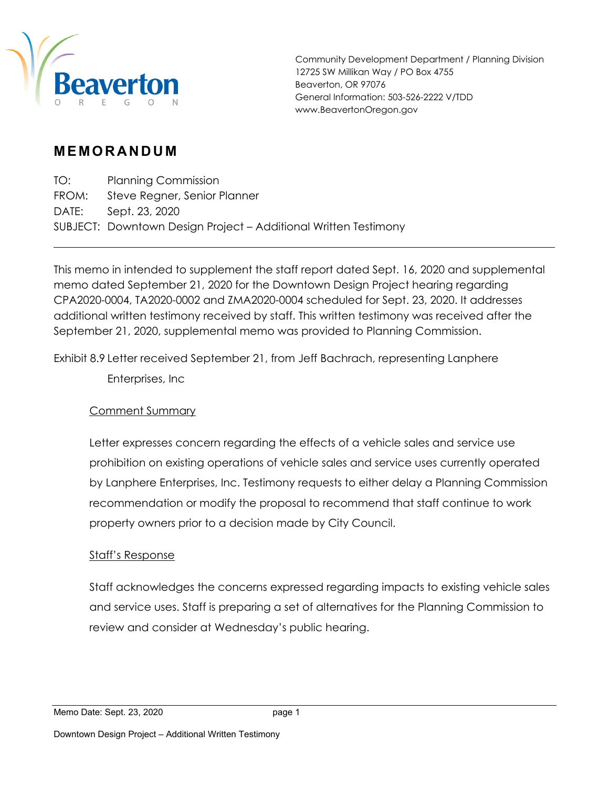

Community Development Department / Planning Division 12725 SW Millikan Way / PO Box 4755 Beaverton, OR 97076 General Information: 503-526-2222 V/TDD www.BeavertonOregon.gov

# **MEMORANDUM**

TO: Planning Commission FROM: Steve Regner, Senior Planner DATE: Sept. 23, 2020 SUBJECT: Downtown Design Project – Additional Written Testimony

This memo in intended to supplement the staff report dated Sept. 16, 2020 and supplemental memo dated September 21, 2020 for the Downtown Design Project hearing regarding CPA2020-0004, TA2020-0002 and ZMA2020-0004 scheduled for Sept. 23, 2020. It addresses additional written testimony received by staff. This written testimony was received after the September 21, 2020, supplemental memo was provided to Planning Commission.

Exhibit 8.9 Letter received September 21, from Jeff Bachrach, representing Lanphere

Enterprises, Inc

## Comment Summary

Letter expresses concern regarding the effects of a vehicle sales and service use prohibition on existing operations of vehicle sales and service uses currently operated by Lanphere Enterprises, Inc. Testimony requests to either delay a Planning Commission recommendation or modify the proposal to recommend that staff continue to work property owners prior to a decision made by City Council.

### Staff's Response

Staff acknowledges the concerns expressed regarding impacts to existing vehicle sales and service uses. Staff is preparing a set of alternatives for the Planning Commission to review and consider at Wednesday's public hearing.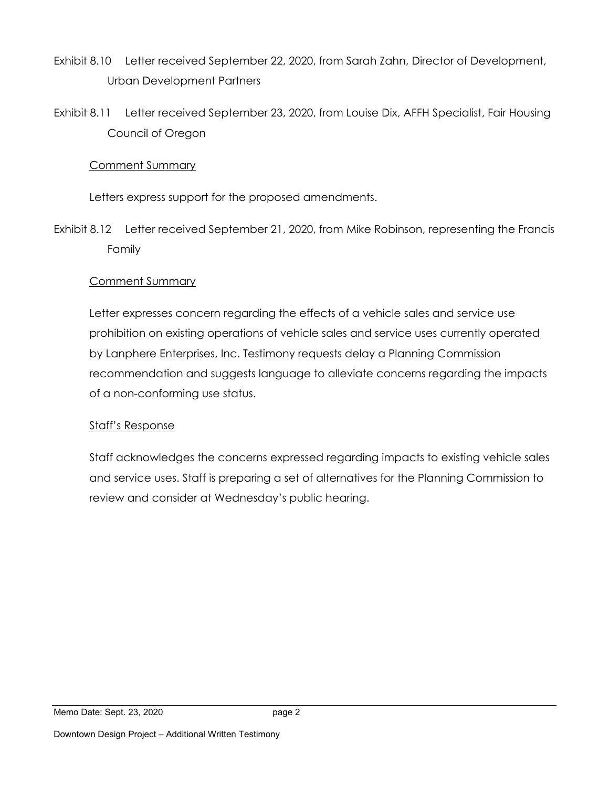- Exhibit 8.10 Letter received September 22, 2020, from Sarah Zahn, Director of Development, Urban Development Partners
- Exhibit 8.11 Letter received September 23, 2020, from Louise Dix, AFFH Specialist, Fair Housing Council of Oregon

### Comment Summary

Letters express support for the proposed amendments.

Exhibit 8.12 Letter received September 21, 2020, from Mike Robinson, representing the Francis Family

## Comment Summary

Letter expresses concern regarding the effects of a vehicle sales and service use prohibition on existing operations of vehicle sales and service uses currently operated by Lanphere Enterprises, Inc. Testimony requests delay a Planning Commission recommendation and suggests language to alleviate concerns regarding the impacts of a non-conforming use status.

## Staff's Response

Staff acknowledges the concerns expressed regarding impacts to existing vehicle sales and service uses. Staff is preparing a set of alternatives for the Planning Commission to review and consider at Wednesday's public hearing.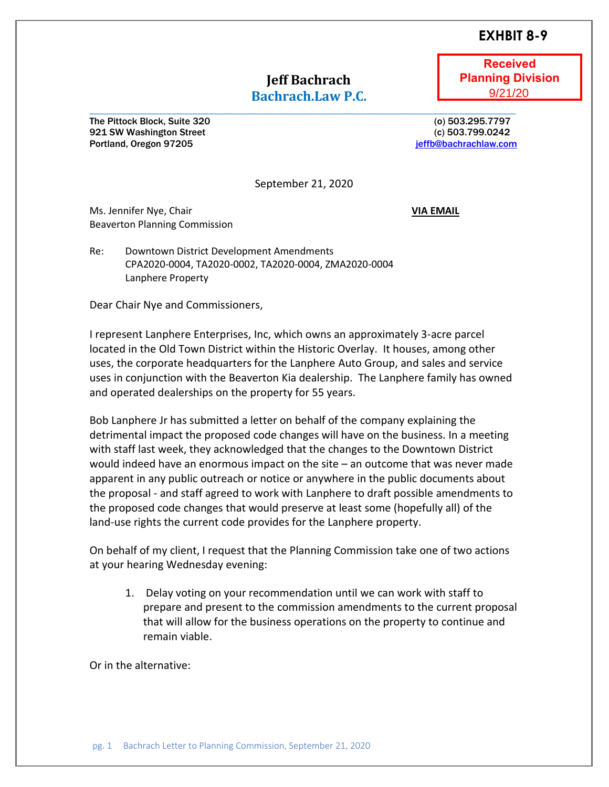## **EXHBIT 8-9**

## **Jeff Bachrach Bachrach.Law P.C.**

**\_\_\_\_\_\_\_\_\_\_\_\_\_\_\_\_\_\_\_\_\_\_\_\_\_\_\_\_\_\_\_\_\_\_\_\_\_\_\_\_\_\_\_\_\_\_\_\_\_\_\_\_\_\_\_\_\_\_\_\_\_**

**Received Planning Division** 9/21/20

The Pittock Block, Suite 320 (o) 503.295.7797 921 SW Washington Street (c) 503.799.0242 **Portland, Oregon 97205 [jeffb@bachrachlaw.com](mailto:jeffb@bachrachlaw.com)** 

September 21, 2020

Ms. Jennifer Nye, Chair **VIA EMAIL** Beaverton Planning Commission

Re: Downtown District Development Amendments CPA2020-0004, TA2020-0002, TA2020-0004, ZMA2020-0004 Lanphere Property

Dear Chair Nye and Commissioners,

I represent Lanphere Enterprises, Inc, which owns an approximately 3-acre parcel located in the Old Town District within the Historic Overlay. It houses, among other uses, the corporate headquarters for the Lanphere Auto Group, and sales and service uses in conjunction with the Beaverton Kia dealership. The Lanphere family has owned and operated dealerships on the property for 55 years.

Bob Lanphere Jr has submitted a letter on behalf of the company explaining the detrimental impact the proposed code changes will have on the business. In a meeting with staff last week, they acknowledged that the changes to the Downtown District would indeed have an enormous impact on the site – an outcome that was never made apparent in any public outreach or notice or anywhere in the public documents about the proposal - and staff agreed to work with Lanphere to draft possible amendments to the proposed code changes that would preserve at least some (hopefully all) of the land-use rights the current code provides for the Lanphere property.

On behalf of my client, I request that the Planning Commission take one of two actions at your hearing Wednesday evening:

1. Delay voting on your recommendation until we can work with staff to prepare and present to the commission amendments to the current proposal that will allow for the business operations on the property to continue and remain viable.

Or in the alternative: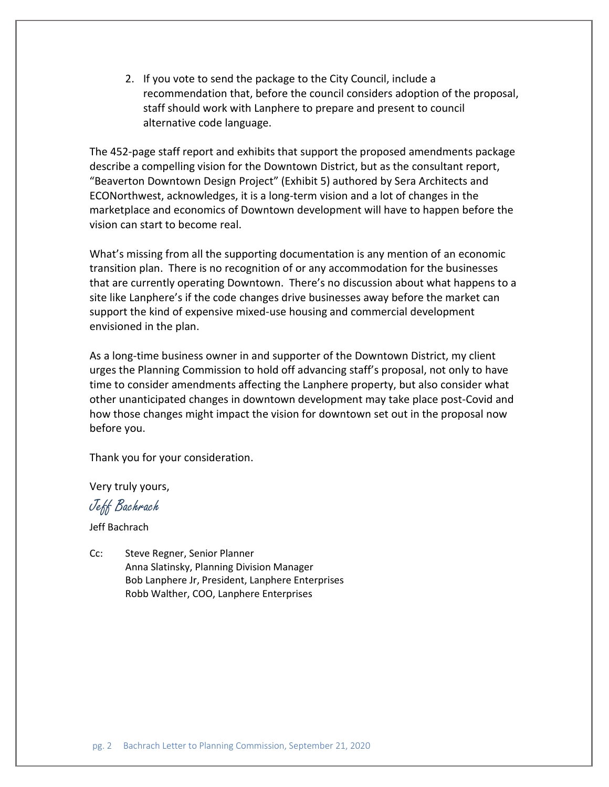2. If you vote to send the package to the City Council, include a recommendation that, before the council considers adoption of the proposal, staff should work with Lanphere to prepare and present to council alternative code language.

The 452-page staff report and exhibits that support the proposed amendments package describe a compelling vision for the Downtown District, but as the consultant report, "Beaverton Downtown Design Project" (Exhibit 5) authored by Sera Architects and ECONorthwest, acknowledges, it is a long-term vision and a lot of changes in the marketplace and economics of Downtown development will have to happen before the vision can start to become real.

What's missing from all the supporting documentation is any mention of an economic transition plan. There is no recognition of or any accommodation for the businesses that are currently operating Downtown. There's no discussion about what happens to a site like Lanphere's if the code changes drive businesses away before the market can support the kind of expensive mixed-use housing and commercial development envisioned in the plan.

As a long-time business owner in and supporter of the Downtown District, my client urges the Planning Commission to hold off advancing staff's proposal, not only to have time to consider amendments affecting the Lanphere property, but also consider what other unanticipated changes in downtown development may take place post-Covid and how those changes might impact the vision for downtown set out in the proposal now before you.

Thank you for your consideration.

Very truly yours,

Jeff Bachrach

Jeff Bachrach

Cc: Steve Regner, Senior Planner Anna Slatinsky, Planning Division Manager Bob Lanphere Jr, President, Lanphere Enterprises Robb Walther, COO, Lanphere Enterprises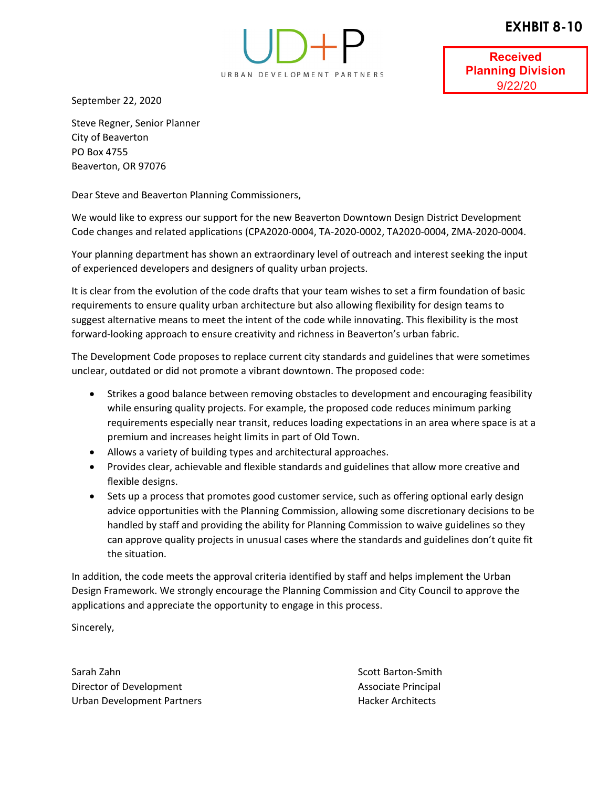## **EXHBIT 8-10**



**Received Planning Division** 9/22/20

September 22, 2020

Steve Regner, Senior Planner City of Beaverton PO Box 4755 Beaverton, OR 97076

Dear Steve and Beaverton Planning Commissioners,

We would like to express our support for the new Beaverton Downtown Design District Development Code changes and related applications (CPA2020‐0004, TA‐2020‐0002, TA2020‐0004, ZMA‐2020‐0004.

Your planning department has shown an extraordinary level of outreach and interest seeking the input of experienced developers and designers of quality urban projects.

It is clear from the evolution of the code drafts that your team wishes to set a firm foundation of basic requirements to ensure quality urban architecture but also allowing flexibility for design teams to suggest alternative means to meet the intent of the code while innovating. This flexibility is the most forward‐looking approach to ensure creativity and richness in Beaverton's urban fabric.

The Development Code proposes to replace current city standards and guidelines that were sometimes unclear, outdated or did not promote a vibrant downtown. The proposed code:

- Strikes a good balance between removing obstacles to development and encouraging feasibility while ensuring quality projects. For example, the proposed code reduces minimum parking requirements especially near transit, reduces loading expectations in an area where space is at a premium and increases height limits in part of Old Town.
- Allows a variety of building types and architectural approaches.
- Provides clear, achievable and flexible standards and guidelines that allow more creative and flexible designs.
- Sets up a process that promotes good customer service, such as offering optional early design advice opportunities with the Planning Commission, allowing some discretionary decisions to be handled by staff and providing the ability for Planning Commission to waive guidelines so they can approve quality projects in unusual cases where the standards and guidelines don't quite fit the situation.

In addition, the code meets the approval criteria identified by staff and helps implement the Urban Design Framework. We strongly encourage the Planning Commission and City Council to approve the applications and appreciate the opportunity to engage in this process.

Sincerely,

Sarah Zahn Sarah Zahn Scott Barton‐Smith Scott Barton‐Smith Scott Barton‐Smith Scott Barton‐Smith Scott Barton‐ Director of Development Associate Principal Urban Development Partners **Hacker Architects** Hacker Architects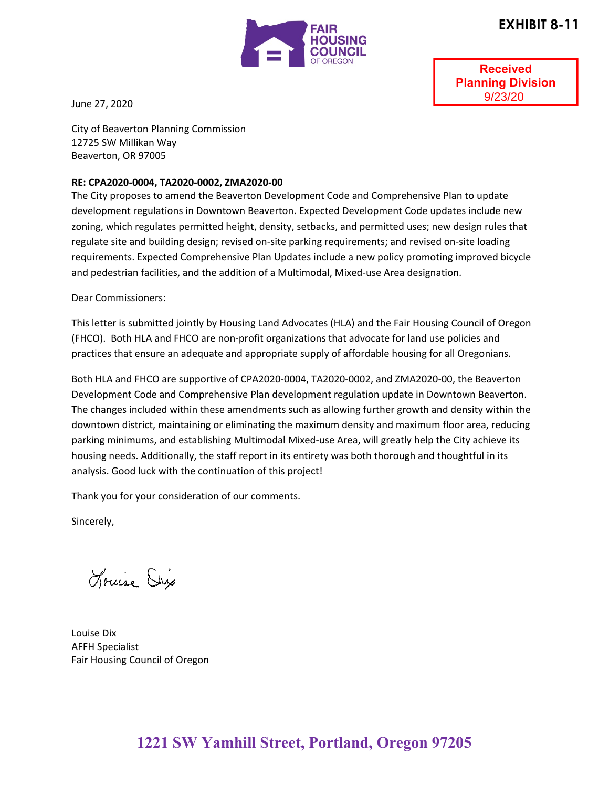



**Received Planning Division** 9/23/20

June 27, 2020

City of Beaverton Planning Commission 12725 SW Millikan Way Beaverton, OR 97005

#### **RE: CPA2020-0004, TA2020-0002, ZMA2020-00**

The City proposes to amend the Beaverton Development Code and Comprehensive Plan to update development regulations in Downtown Beaverton. Expected Development Code updates include new zoning, which regulates permitted height, density, setbacks, and permitted uses; new design rules that regulate site and building design; revised on-site parking requirements; and revised on-site loading requirements. Expected Comprehensive Plan Updates include a new policy promoting improved bicycle and pedestrian facilities, and the addition of a Multimodal, Mixed-use Area designation.

Dear Commissioners:

This letter is submitted jointly by Housing Land Advocates (HLA) and the Fair Housing Council of Oregon (FHCO). Both HLA and FHCO are non-profit organizations that advocate for land use policies and practices that ensure an adequate and appropriate supply of affordable housing for all Oregonians.

Both HLA and FHCO are supportive of CPA2020-0004, TA2020-0002, and ZMA2020-00, the Beaverton Development Code and Comprehensive Plan development regulation update in Downtown Beaverton. The changes included within these amendments such as allowing further growth and density within the downtown district, maintaining or eliminating the maximum density and maximum floor area, reducing parking minimums, and establishing Multimodal Mixed-use Area, will greatly help the City achieve its housing needs. Additionally, the staff report in its entirety was both thorough and thoughtful in its analysis. Good luck with the continuation of this project!

Thank you for your consideration of our comments.

Sincerely,

Louise Dix

Louise Dix AFFH Specialist Fair Housing Council of Oregon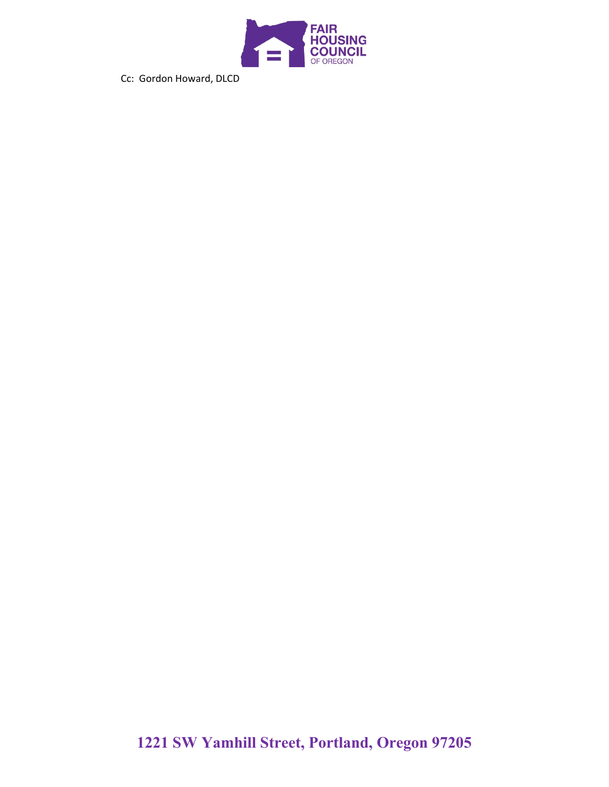

Cc: Gordon Howard, DLCD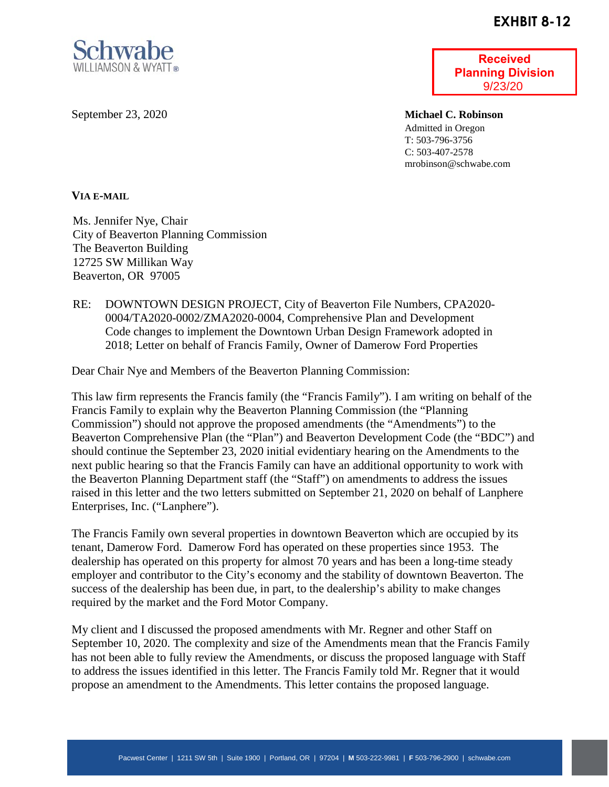## **EXHBIT 8-12**



September 23, 2020

**Received Planning Division** 9/23/20

**Michael C. Robinson** Admitted in Oregon T: 503-796-3756 C: 503-407-2578 mrobinson@schwabe.com

#### **VIA E-MAIL**

Ms. Jennifer Nye, Chair City of Beaverton Planning Commission The Beaverton Building 12725 SW Millikan Way Beaverton, OR 97005

RE: DOWNTOWN DESIGN PROJECT, City of Beaverton File Numbers, CPA2020- 0004/TA2020-0002/ZMA2020-0004, Comprehensive Plan and Development Code changes to implement the Downtown Urban Design Framework adopted in 2018; Letter on behalf of Francis Family, Owner of Damerow Ford Properties

Dear Chair Nye and Members of the Beaverton Planning Commission:

This law firm represents the Francis family (the "Francis Family"). I am writing on behalf of the Francis Family to explain why the Beaverton Planning Commission (the "Planning Commission") should not approve the proposed amendments (the "Amendments") to the Beaverton Comprehensive Plan (the "Plan") and Beaverton Development Code (the "BDC") and should continue the September 23, 2020 initial evidentiary hearing on the Amendments to the next public hearing so that the Francis Family can have an additional opportunity to work with the Beaverton Planning Department staff (the "Staff") on amendments to address the issues raised in this letter and the two letters submitted on September 21, 2020 on behalf of Lanphere Enterprises, Inc. ("Lanphere").

The Francis Family own several properties in downtown Beaverton which are occupied by its tenant, Damerow Ford. Damerow Ford has operated on these properties since 1953. The dealership has operated on this property for almost 70 years and has been a long-time steady employer and contributor to the City's economy and the stability of downtown Beaverton. The success of the dealership has been due, in part, to the dealership's ability to make changes required by the market and the Ford Motor Company.

My client and I discussed the proposed amendments with Mr. Regner and other Staff on September 10, 2020. The complexity and size of the Amendments mean that the Francis Family has not been able to fully review the Amendments, or discuss the proposed language with Staff to address the issues identified in this letter. The Francis Family told Mr. Regner that it would propose an amendment to the Amendments. This letter contains the proposed language.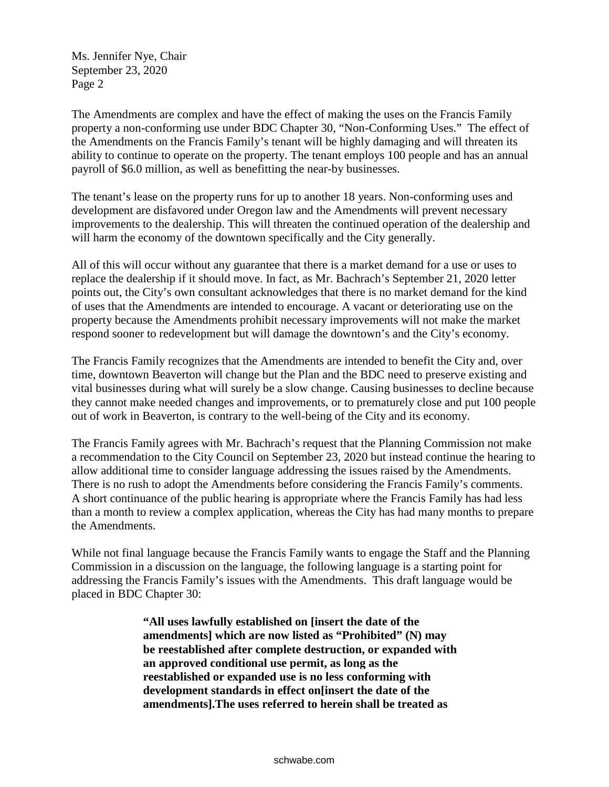Ms. Jennifer Nye, Chair September 23, 2020 Page 2

The Amendments are complex and have the effect of making the uses on the Francis Family property a non-conforming use under BDC Chapter 30, "Non-Conforming Uses." The effect of the Amendments on the Francis Family's tenant will be highly damaging and will threaten its ability to continue to operate on the property. The tenant employs 100 people and has an annual payroll of \$6.0 million, as well as benefitting the near-by businesses.

The tenant's lease on the property runs for up to another 18 years. Non-conforming uses and development are disfavored under Oregon law and the Amendments will prevent necessary improvements to the dealership. This will threaten the continued operation of the dealership and will harm the economy of the downtown specifically and the City generally.

All of this will occur without any guarantee that there is a market demand for a use or uses to replace the dealership if it should move. In fact, as Mr. Bachrach's September 21, 2020 letter points out, the City's own consultant acknowledges that there is no market demand for the kind of uses that the Amendments are intended to encourage. A vacant or deteriorating use on the property because the Amendments prohibit necessary improvements will not make the market respond sooner to redevelopment but will damage the downtown's and the City's economy.

The Francis Family recognizes that the Amendments are intended to benefit the City and, over time, downtown Beaverton will change but the Plan and the BDC need to preserve existing and vital businesses during what will surely be a slow change. Causing businesses to decline because they cannot make needed changes and improvements, or to prematurely close and put 100 people out of work in Beaverton, is contrary to the well-being of the City and its economy.

The Francis Family agrees with Mr. Bachrach's request that the Planning Commission not make a recommendation to the City Council on September 23, 2020 but instead continue the hearing to allow additional time to consider language addressing the issues raised by the Amendments. There is no rush to adopt the Amendments before considering the Francis Family's comments. A short continuance of the public hearing is appropriate where the Francis Family has had less than a month to review a complex application, whereas the City has had many months to prepare the Amendments.

While not final language because the Francis Family wants to engage the Staff and the Planning Commission in a discussion on the language, the following language is a starting point for addressing the Francis Family's issues with the Amendments. This draft language would be placed in BDC Chapter 30:

> **"All uses lawfully established on [insert the date of the amendments] which are now listed as "Prohibited" (N) may be reestablished after complete destruction, or expanded with an approved conditional use permit, as long as the reestablished or expanded use is no less conforming with development standards in effect on[insert the date of the amendments].The uses referred to herein shall be treated as**